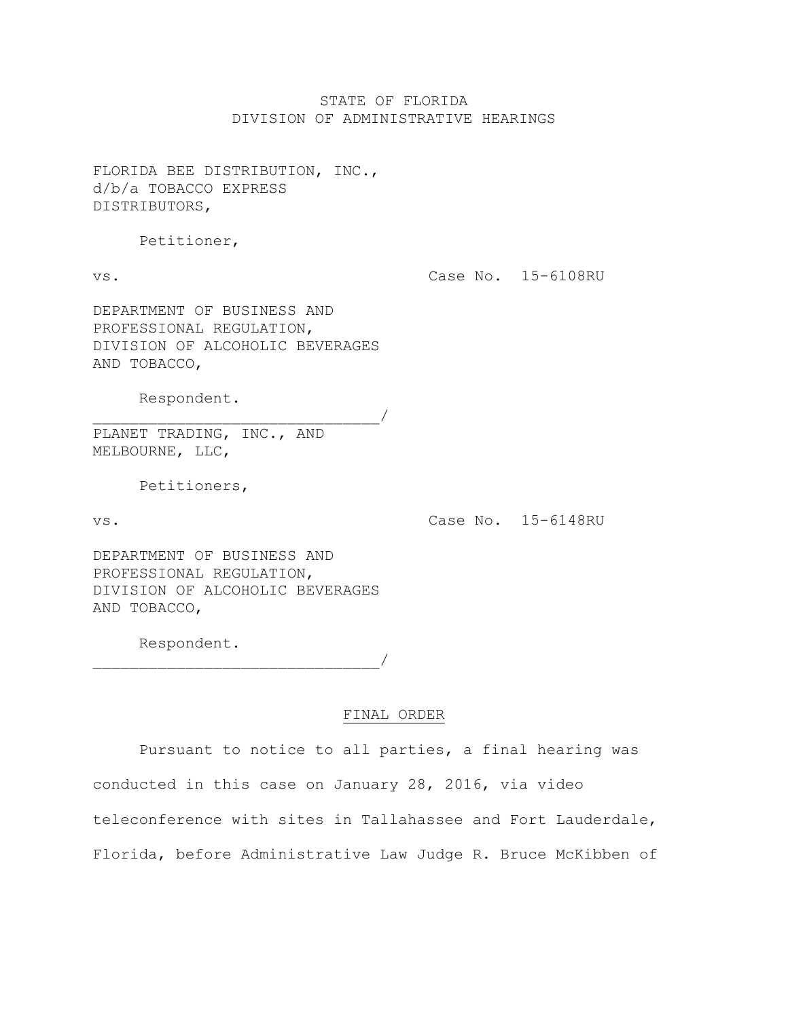# STATE OF FLORIDA DIVISION OF ADMINISTRATIVE HEARINGS

FLORIDA BEE DISTRIBUTION, INC., d/b/a TOBACCO EXPRESS DISTRIBUTORS,

Petitioner,

vs.

Case No. 15-6108RU

DEPARTMENT OF BUSINESS AND PROFESSIONAL REGULATION, DIVISION OF ALCOHOLIC BEVERAGES AND TOBACCO,

Respondent.

PLANET TRADING, INC., AND MELBOURNE, LLC,

Petitioners,

vs.

Case No. 15-6148RU

DEPARTMENT OF BUSINESS AND PROFESSIONAL REGULATION, DIVISION OF ALCOHOLIC BEVERAGES AND TOBACCO,

Respondent.

 $\overline{\phantom{a}}$ 

# FINAL ORDER

Pursuant to notice to all parties, a final hearing was conducted in this case on January 28, 2016, via video teleconference with sites in Tallahassee and Fort Lauderdale, Florida, before Administrative Law Judge R. Bruce McKibben of

\_\_\_\_\_\_\_\_\_\_\_\_\_\_\_\_\_\_\_\_\_\_\_\_\_\_\_\_\_\_\_/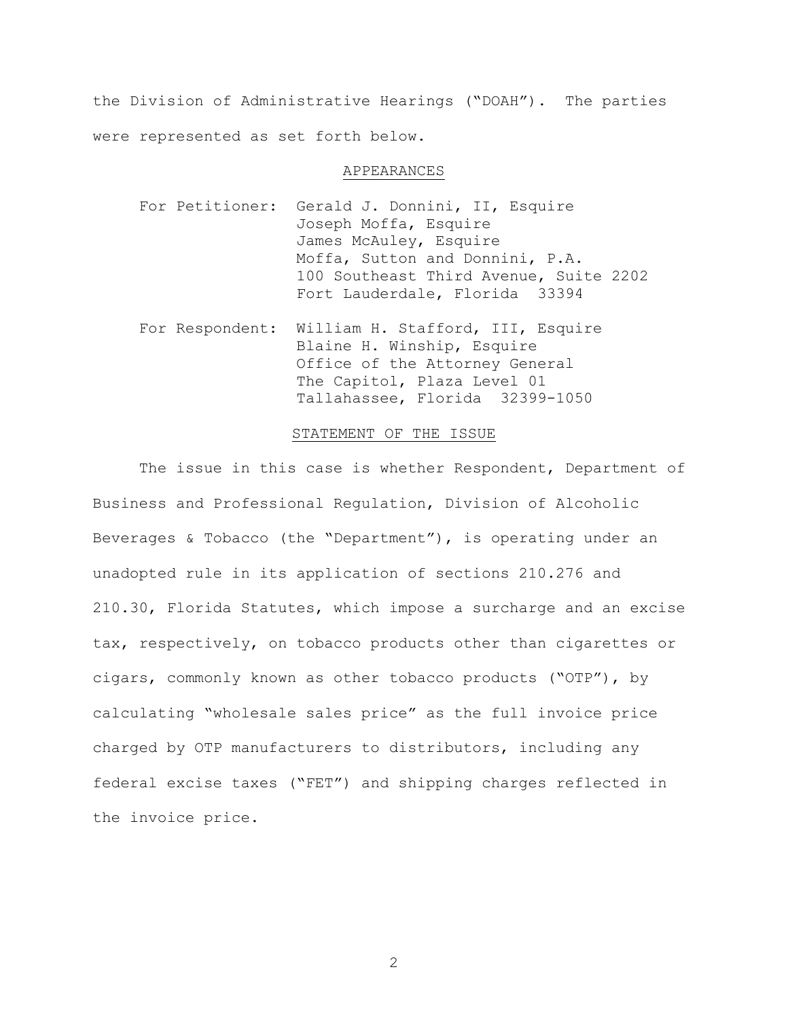the Division of Administrative Hearings ("DOAH"). The parties were represented as set forth below.

### APPEARANCES

- For Petitioner: Gerald J. Donnini, II, Esquire Joseph Moffa, Esquire James McAuley, Esquire Moffa, Sutton and Donnini, P.A. 100 Southeast Third Avenue, Suite 2202 Fort Lauderdale, Florida 33394
- For Respondent: William H. Stafford, III, Esquire Blaine H. Winship, Esquire Office of the Attorney General The Capitol, Plaza Level 01 Tallahassee, Florida 32399-1050

## STATEMENT OF THE ISSUE

The issue in this case is whether Respondent, Department of Business and Professional Regulation, Division of Alcoholic Beverages & Tobacco (the "Department"), is operating under an unadopted rule in its application of sections 210.276 and 210.30, Florida Statutes, which impose a surcharge and an excise tax, respectively, on tobacco products other than cigarettes or cigars, commonly known as other tobacco products ("OTP"), by calculating "wholesale sales price" as the full invoice price charged by OTP manufacturers to distributors, including any federal excise taxes ("FET") and shipping charges reflected in the invoice price.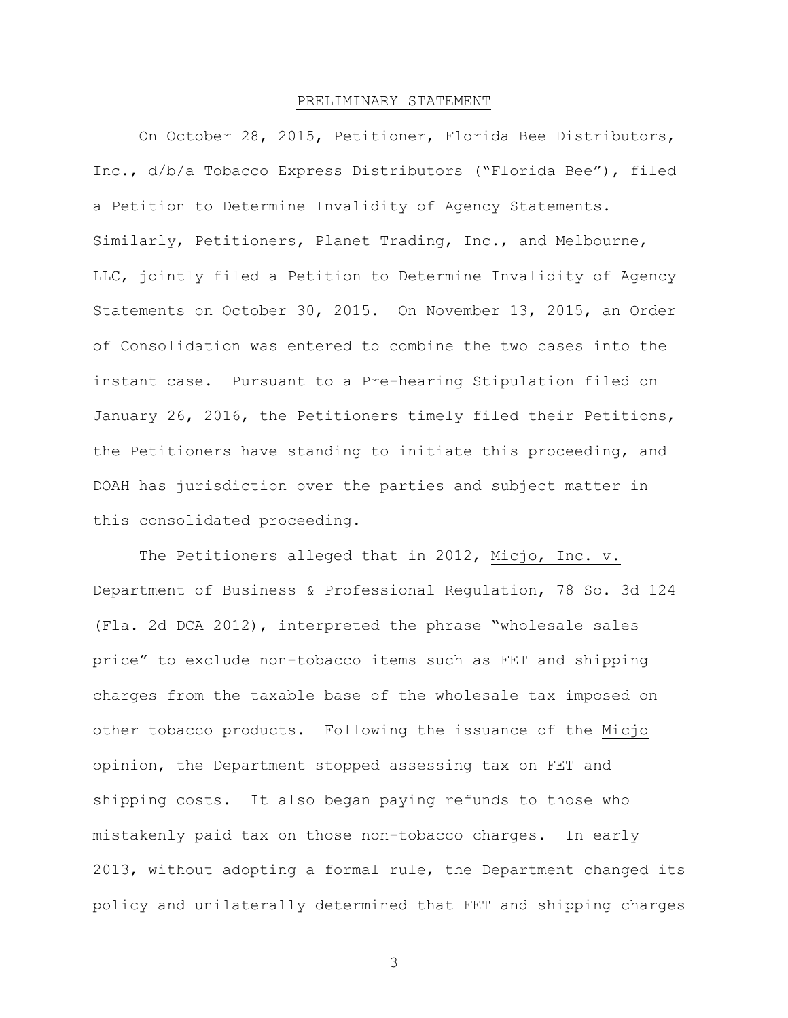#### PRELIMINARY STATEMENT

On October 28, 2015, Petitioner, Florida Bee Distributors, Inc., d/b/a Tobacco Express Distributors ("Florida Bee"), filed a Petition to Determine Invalidity of Agency Statements. Similarly, Petitioners, Planet Trading, Inc., and Melbourne, LLC, jointly filed a Petition to Determine Invalidity of Agency Statements on October 30, 2015. On November 13, 2015, an Order of Consolidation was entered to combine the two cases into the instant case. Pursuant to a Pre-hearing Stipulation filed on January 26, 2016, the Petitioners timely filed their Petitions, the Petitioners have standing to initiate this proceeding, and DOAH has jurisdiction over the parties and subject matter in this consolidated proceeding.

The Petitioners alleged that in 2012, Micjo, Inc. v. Department of Business & Professional Regulation, 78 So. 3d 124 (Fla. 2d DCA 2012), interpreted the phrase "wholesale sales price" to exclude non-tobacco items such as FET and shipping charges from the taxable base of the wholesale tax imposed on other tobacco products. Following the issuance of the Micjo opinion, the Department stopped assessing tax on FET and shipping costs. It also began paying refunds to those who mistakenly paid tax on those non-tobacco charges. In early 2013, without adopting a formal rule, the Department changed its policy and unilaterally determined that FET and shipping charges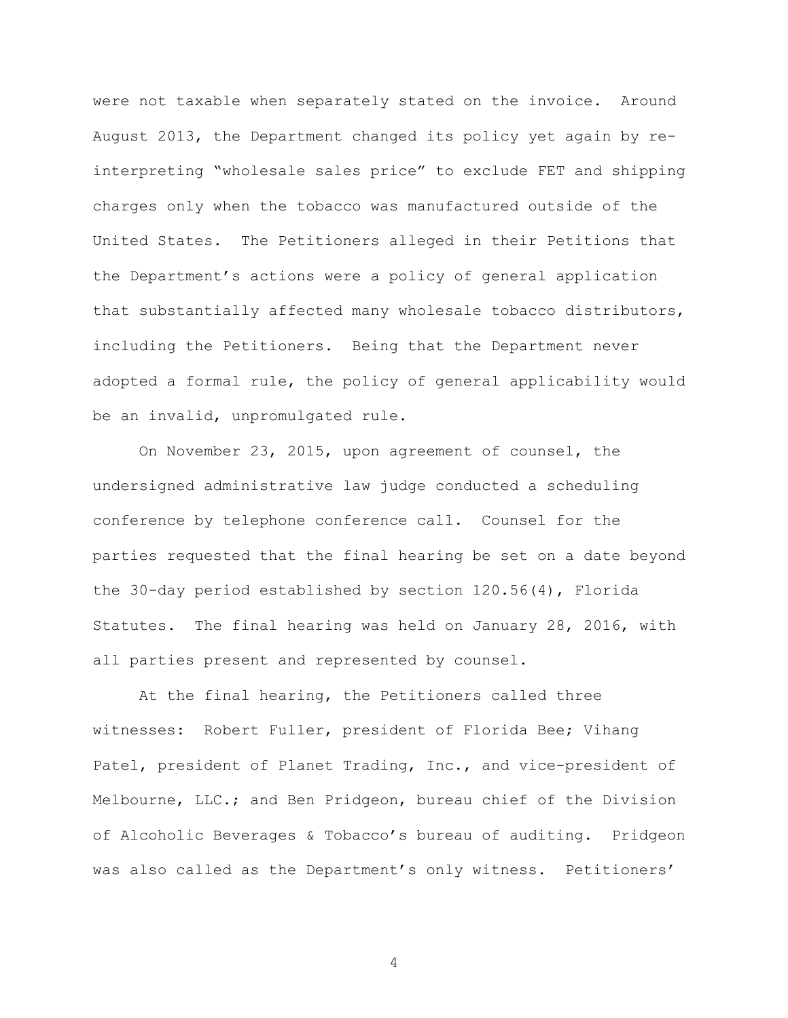were not taxable when separately stated on the invoice. Around August 2013, the Department changed its policy yet again by reinterpreting "wholesale sales price" to exclude FET and shipping charges only when the tobacco was manufactured outside of the United States. The Petitioners alleged in their Petitions that the Department's actions were a policy of general application that substantially affected many wholesale tobacco distributors, including the Petitioners. Being that the Department never adopted a formal rule, the policy of general applicability would be an invalid, unpromulgated rule.

On November 23, 2015, upon agreement of counsel, the undersigned administrative law judge conducted a scheduling conference by telephone conference call. Counsel for the parties requested that the final hearing be set on a date beyond the 30-day period established by section 120.56(4), Florida Statutes. The final hearing was held on January 28, 2016, with all parties present and represented by counsel.

At the final hearing, the Petitioners called three witnesses: Robert Fuller, president of Florida Bee; Vihang Patel, president of Planet Trading, Inc., and vice-president of Melbourne, LLC.; and Ben Pridgeon, bureau chief of the Division of Alcoholic Beverages & Tobacco's bureau of auditing. Pridgeon was also called as the Department's only witness. Petitioners'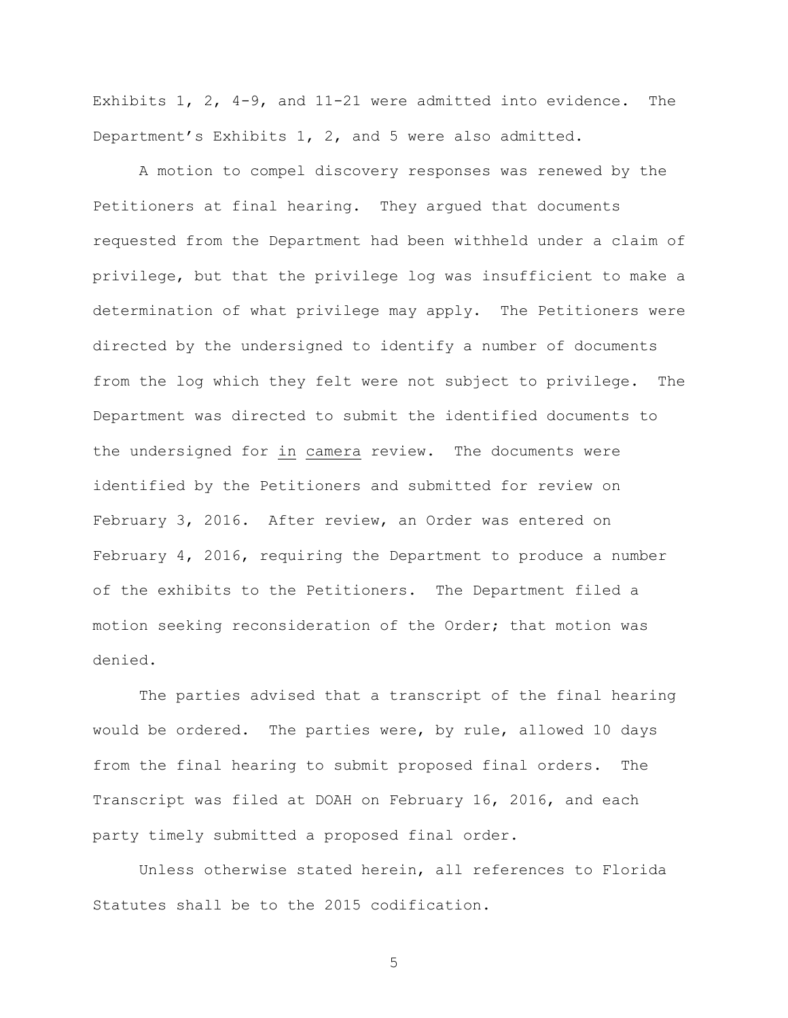Exhibits 1, 2, 4-9, and 11-21 were admitted into evidence. The Department's Exhibits 1, 2, and 5 were also admitted.

A motion to compel discovery responses was renewed by the Petitioners at final hearing. They argued that documents requested from the Department had been withheld under a claim of privilege, but that the privilege log was insufficient to make a determination of what privilege may apply. The Petitioners were directed by the undersigned to identify a number of documents from the log which they felt were not subject to privilege. The Department was directed to submit the identified documents to the undersigned for in camera review. The documents were identified by the Petitioners and submitted for review on February 3, 2016. After review, an Order was entered on February 4, 2016, requiring the Department to produce a number of the exhibits to the Petitioners. The Department filed a motion seeking reconsideration of the Order; that motion was denied.

The parties advised that a transcript of the final hearing would be ordered. The parties were, by rule, allowed 10 days from the final hearing to submit proposed final orders. The Transcript was filed at DOAH on February 16, 2016, and each party timely submitted a proposed final order.

Unless otherwise stated herein, all references to Florida Statutes shall be to the 2015 codification.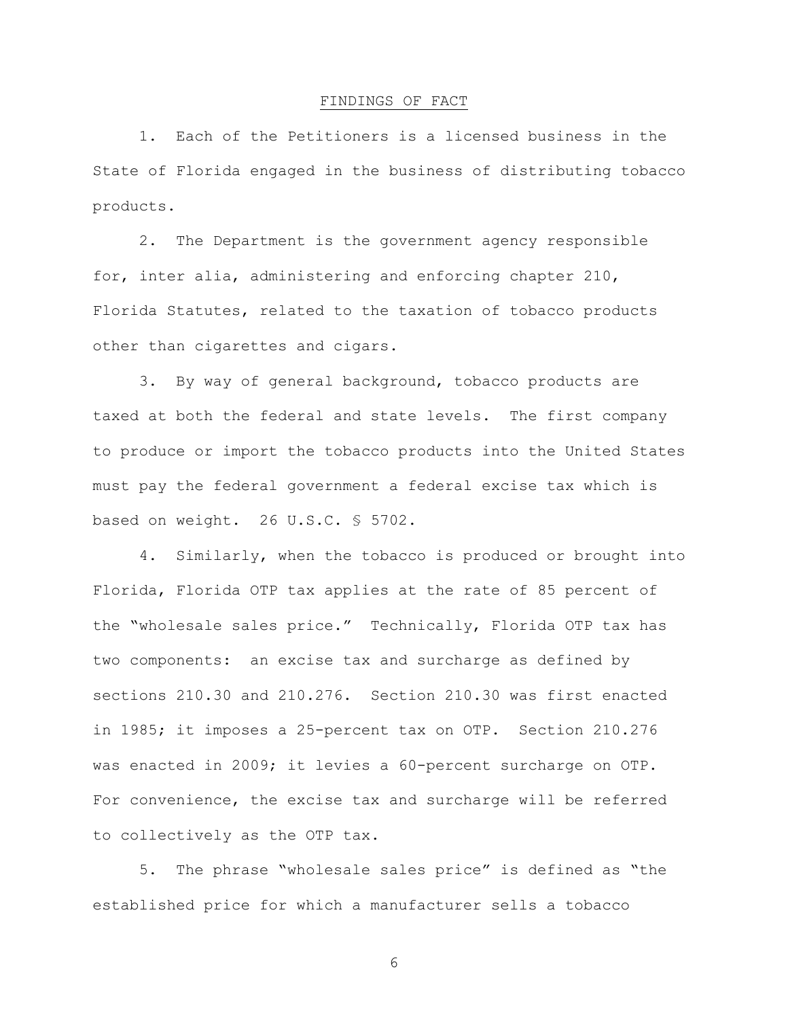#### FINDINGS OF FACT

1. Each of the Petitioners is a licensed business in the State of Florida engaged in the business of distributing tobacco products.

2. The Department is the government agency responsible for, inter alia, administering and enforcing chapter 210, Florida Statutes, related to the taxation of tobacco products other than cigarettes and cigars.

3. By way of general background, tobacco products are taxed at both the federal and state levels. The first company to produce or import the tobacco products into the United States must pay the federal government a federal excise tax which is based on weight. 26 U.S.C. § 5702.

4. Similarly, when the tobacco is produced or brought into Florida, Florida OTP tax applies at the rate of 85 percent of the "wholesale sales price." Technically, Florida OTP tax has two components: an excise tax and surcharge as defined by sections 210.30 and 210.276. Section 210.30 was first enacted in 1985; it imposes a 25-percent tax on OTP. Section 210.276 was enacted in 2009; it levies a 60-percent surcharge on OTP. For convenience, the excise tax and surcharge will be referred to collectively as the OTP tax.

5. The phrase "wholesale sales price" is defined as "the established price for which a manufacturer sells a tobacco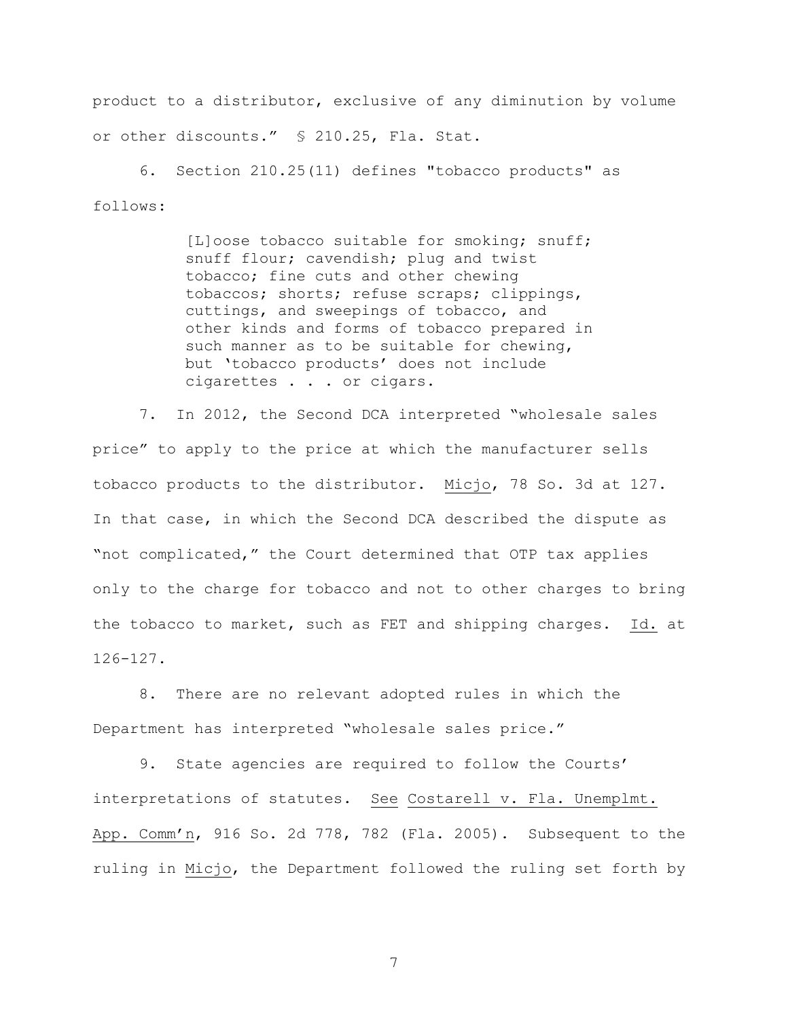product to a distributor, exclusive of any diminution by volume or other discounts." § 210.25, Fla. Stat.

6. Section 210.25(11) defines "tobacco products" as follows:

> [L]oose tobacco suitable for smoking; snuff; snuff flour; cavendish; plug and twist tobacco; fine cuts and other chewing tobaccos; shorts; refuse scraps; clippings, cuttings, and sweepings of tobacco, and other kinds and forms of tobacco prepared in such manner as to be suitable for chewing, but 'tobacco products' does not include cigarettes . . . or cigars.

7. In 2012, the Second DCA interpreted "wholesale sales price" to apply to the price at which the manufacturer sells tobacco products to the distributor. Micjo, 78 So. 3d at 127. In that case, in which the Second DCA described the dispute as "not complicated," the Court determined that OTP tax applies only to the charge for tobacco and not to other charges to bring the tobacco to market, such as FET and shipping charges. Id. at 126-127.

8. There are no relevant adopted rules in which the Department has interpreted "wholesale sales price."

9. State agencies are required to follow the Courts' interpretations of statutes. See Costarell v. Fla. Unemplmt. App. Comm'n, 916 So. 2d 778, 782 (Fla. 2005). Subsequent to the ruling in Micjo, the Department followed the ruling set forth by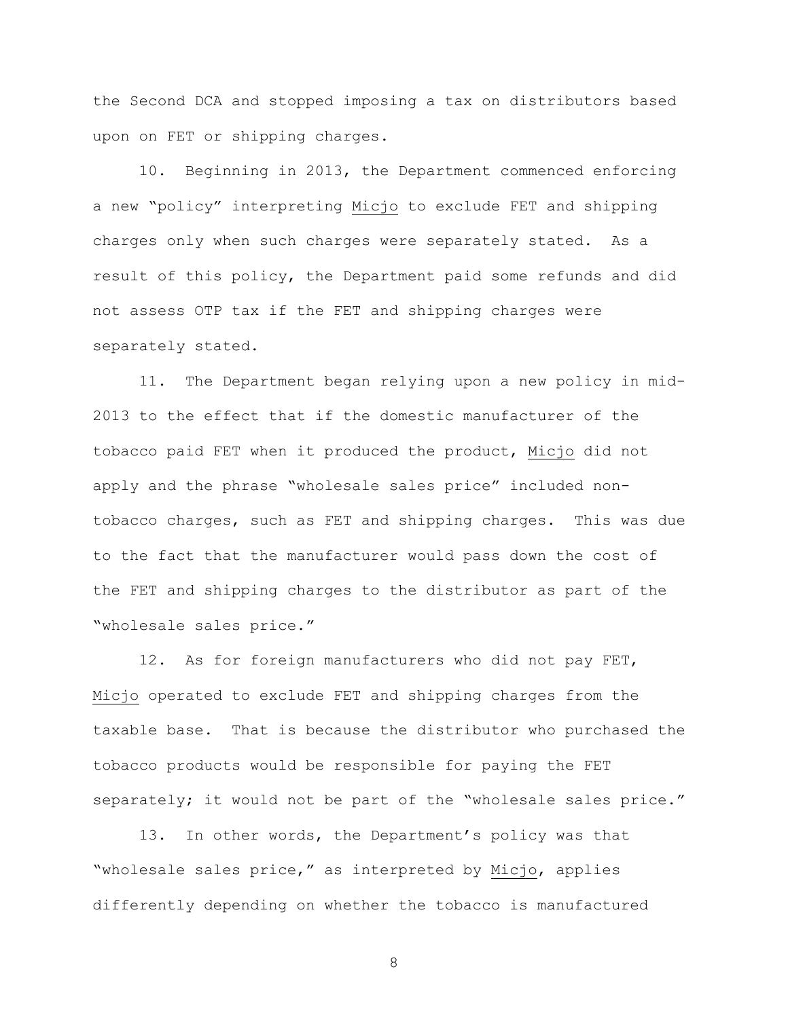the Second DCA and stopped imposing a tax on distributors based upon on FET or shipping charges.

10. Beginning in 2013, the Department commenced enforcing a new "policy" interpreting Micjo to exclude FET and shipping charges only when such charges were separately stated. As a result of this policy, the Department paid some refunds and did not assess OTP tax if the FET and shipping charges were separately stated.

11. The Department began relying upon a new policy in mid-2013 to the effect that if the domestic manufacturer of the tobacco paid FET when it produced the product, Micjo did not apply and the phrase "wholesale sales price" included nontobacco charges, such as FET and shipping charges. This was due to the fact that the manufacturer would pass down the cost of the FET and shipping charges to the distributor as part of the "wholesale sales price."

12. As for foreign manufacturers who did not pay FET, Micjo operated to exclude FET and shipping charges from the taxable base. That is because the distributor who purchased the tobacco products would be responsible for paying the FET separately; it would not be part of the "wholesale sales price."

13. In other words, the Department's policy was that "wholesale sales price," as interpreted by Micjo, applies differently depending on whether the tobacco is manufactured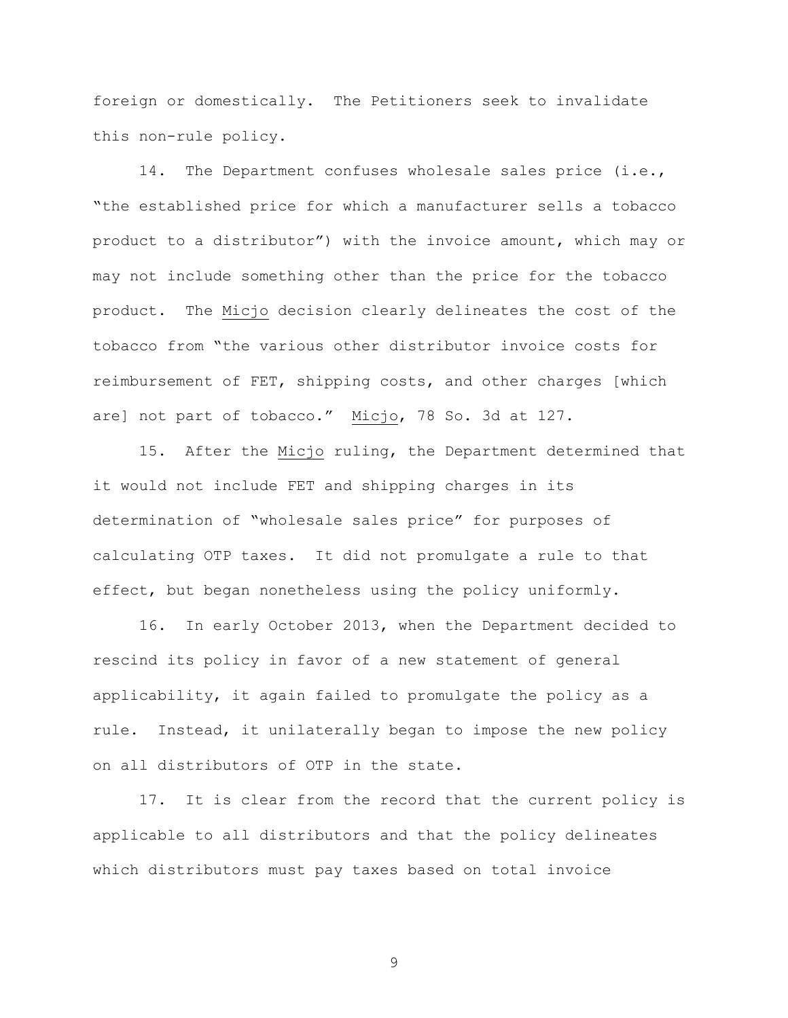foreign or domestically. The Petitioners seek to invalidate this non-rule policy.

14. The Department confuses wholesale sales price (i.e., "the established price for which a manufacturer sells a tobacco product to a distributor") with the invoice amount, which may or may not include something other than the price for the tobacco product. The Micjo decision clearly delineates the cost of the tobacco from "the various other distributor invoice costs for reimbursement of FET, shipping costs, and other charges [which are] not part of tobacco." Micjo, 78 So. 3d at 127.

15. After the Micjo ruling, the Department determined that it would not include FET and shipping charges in its determination of "wholesale sales price" for purposes of calculating OTP taxes. It did not promulgate a rule to that effect, but began nonetheless using the policy uniformly.

16. In early October 2013, when the Department decided to rescind its policy in favor of a new statement of general applicability, it again failed to promulgate the policy as a rule. Instead, it unilaterally began to impose the new policy on all distributors of OTP in the state.

17. It is clear from the record that the current policy is applicable to all distributors and that the policy delineates which distributors must pay taxes based on total invoice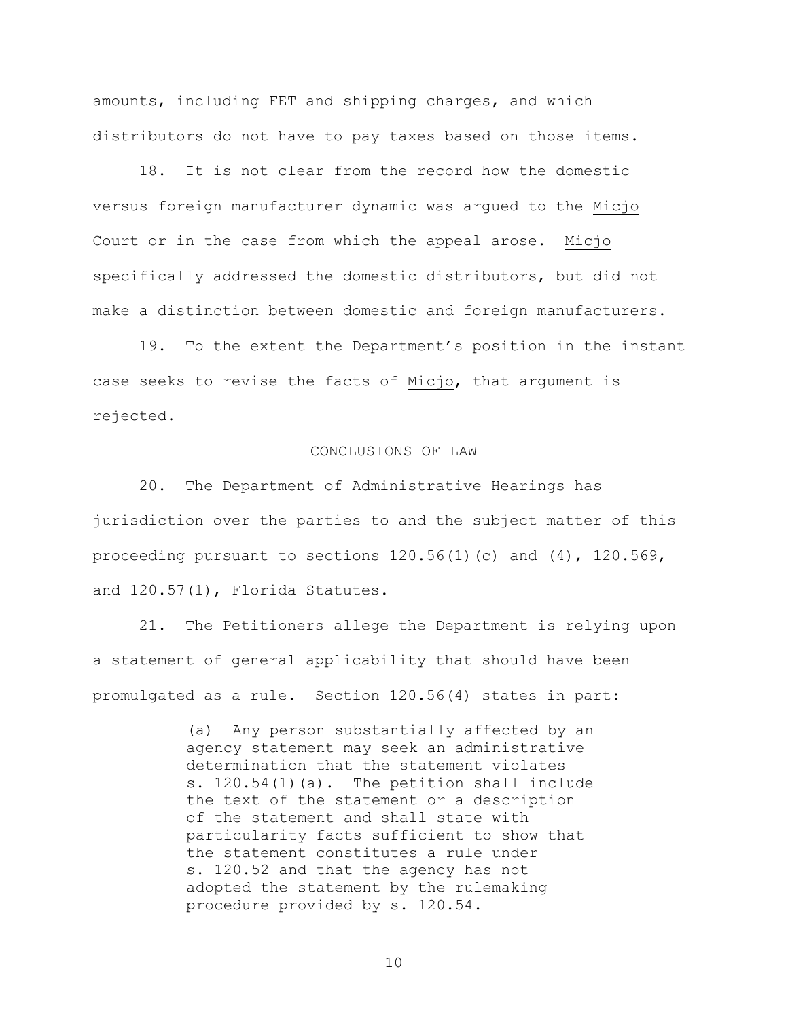amounts, including FET and shipping charges, and which distributors do not have to pay taxes based on those items.

18. It is not clear from the record how the domestic versus foreign manufacturer dynamic was argued to the Micjo Court or in the case from which the appeal arose. Micjo specifically addressed the domestic distributors, but did not make a distinction between domestic and foreign manufacturers.

19. To the extent the Department's position in the instant case seeks to revise the facts of Micjo, that argument is rejected.

## CONCLUSIONS OF LAW

20. The Department of Administrative Hearings has jurisdiction over the parties to and the subject matter of this proceeding pursuant to sections  $120.56(1)(c)$  and  $(4)$ ,  $120.569$ , and 120.57(1), Florida Statutes.

21. The Petitioners allege the Department is relying upon a statement of general applicability that should have been promulgated as a rule. Section 120.56(4) states in part:

> (a) Any person substantially affected by an agency statement may seek an administrative determination that the statement violates s. 120.54(1)(a). The petition shall include the text of the statement or a description of the statement and shall state with particularity facts sufficient to show that the statement constitutes a rule under s. 120.52 and that the agency has not adopted the statement by the rulemaking procedure provided by s. 120.54.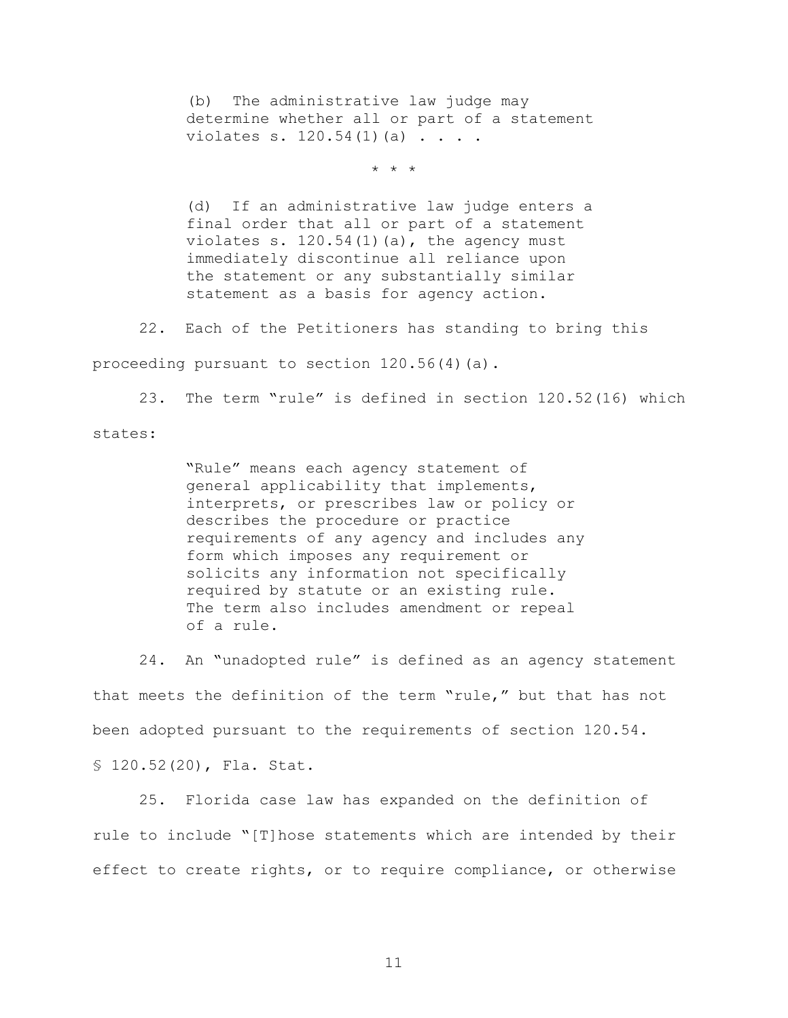(b) The administrative law judge may determine whether all or part of a statement violates s. 120.54(1)(a) . . . .

\* \* \*

(d) If an administrative law judge enters a final order that all or part of a statement violates s.  $120.54(1)(a)$ , the agency must immediately discontinue all reliance upon the statement or any substantially similar statement as a basis for agency action.

22. Each of the Petitioners has standing to bring this

proceeding pursuant to section 120.56(4)(a).

23. The term "rule" is defined in section 120.52(16) which

states:

"Rule" means each agency statement of general applicability that implements, interprets, or prescribes law or policy or describes the procedure or practice requirements of any agency and includes any form which imposes any requirement or solicits any information not specifically required by statute or an existing rule. The term also includes amendment or repeal of a rule.

24. An "unadopted rule" is defined as an agency statement that meets the definition of the term "rule," but that has not been adopted pursuant to the requirements of section 120.54.

§ 120.52(20), Fla. Stat.

25. Florida case law has expanded on the definition of rule to include "[T]hose statements which are intended by their effect to create rights, or to require compliance, or otherwise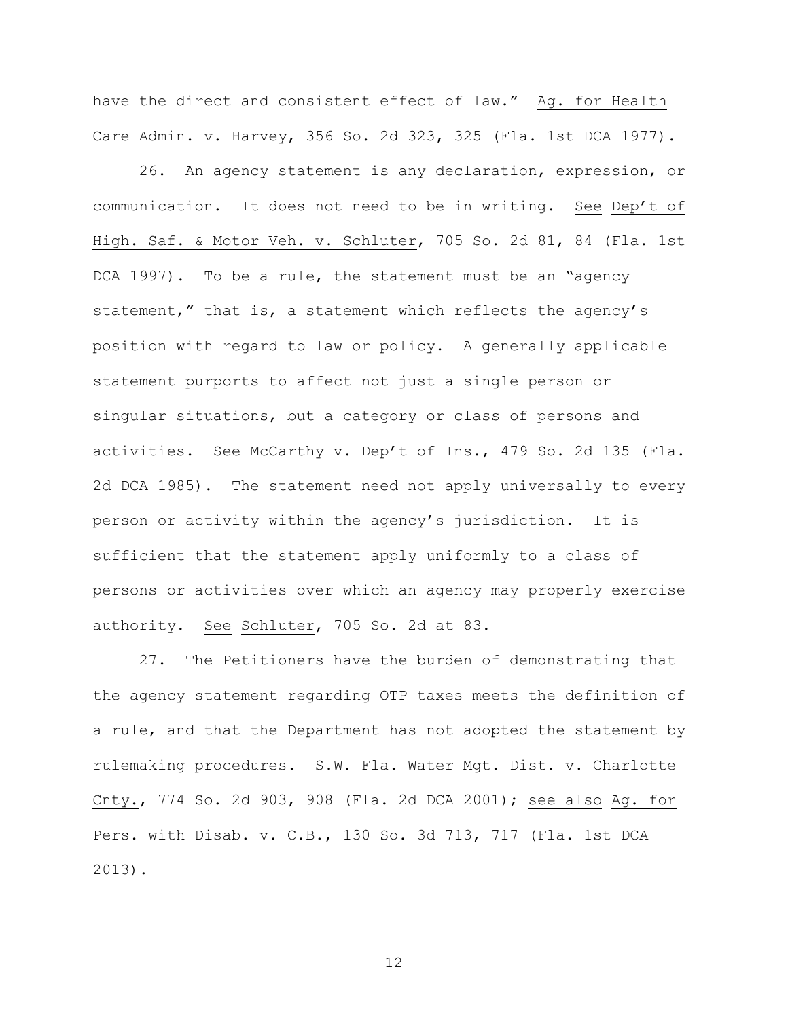have the direct and consistent effect of law." Ag. for Health Care Admin. v. Harvey, 356 So. 2d 323, 325 (Fla. 1st DCA 1977).

26. An agency statement is any declaration, expression, or communication. It does not need to be in writing. See Dep't of High. Saf. & Motor Veh. v. Schluter, 705 So. 2d 81, 84 (Fla. 1st DCA 1997). To be a rule, the statement must be an "agency statement," that is, a statement which reflects the agency's position with regard to law or policy. A generally applicable statement purports to affect not just a single person or singular situations, but a category or class of persons and activities. See McCarthy v. Dep't of Ins., 479 So. 2d 135 (Fla. 2d DCA 1985). The statement need not apply universally to every person or activity within the agency's jurisdiction. It is sufficient that the statement apply uniformly to a class of persons or activities over which an agency may properly exercise authority. See Schluter, 705 So. 2d at 83.

27. The Petitioners have the burden of demonstrating that the agency statement regarding OTP taxes meets the definition of a rule, and that the Department has not adopted the statement by rulemaking procedures. S.W. Fla. Water Mgt. Dist. v. Charlotte Cnty., 774 So. 2d 903, 908 (Fla. 2d DCA 2001); see also Ag. for Pers. with Disab. v. C.B., 130 So. 3d 713, 717 (Fla. 1st DCA 2013).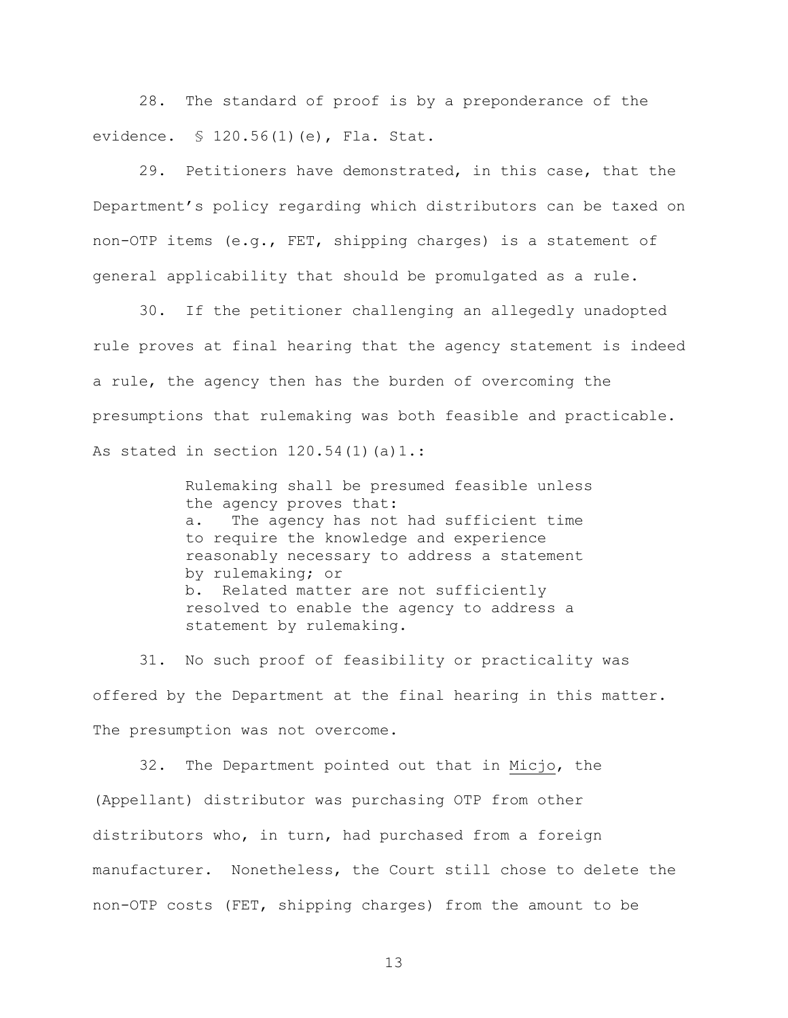28. The standard of proof is by a preponderance of the evidence. § 120.56(1)(e), Fla. Stat.

29. Petitioners have demonstrated, in this case, that the Department's policy regarding which distributors can be taxed on non-OTP items (e.g., FET, shipping charges) is a statement of general applicability that should be promulgated as a rule.

30. If the petitioner challenging an allegedly unadopted rule proves at final hearing that the agency statement is indeed a rule, the agency then has the burden of overcoming the presumptions that rulemaking was both feasible and practicable. As stated in section  $120.54(1)(a)1$ .:

> Rulemaking shall be presumed feasible unless the agency proves that: a. The agency has not had sufficient time to require the knowledge and experience reasonably necessary to address a statement by rulemaking; or b. Related matter are not sufficiently resolved to enable the agency to address a statement by rulemaking.

31. No such proof of feasibility or practicality was offered by the Department at the final hearing in this matter. The presumption was not overcome.

32. The Department pointed out that in Micjo, the (Appellant) distributor was purchasing OTP from other distributors who, in turn, had purchased from a foreign manufacturer. Nonetheless, the Court still chose to delete the non-OTP costs (FET, shipping charges) from the amount to be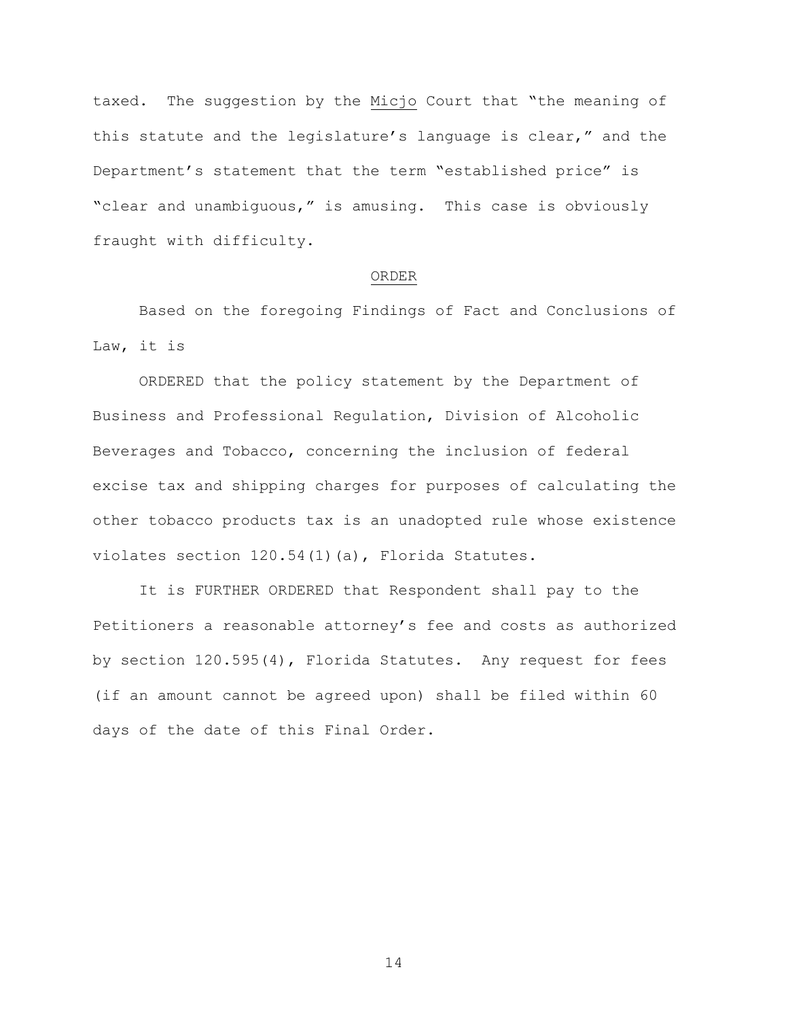taxed. The suggestion by the Micjo Court that "the meaning of this statute and the legislature's language is clear," and the Department's statement that the term "established price" is "clear and unambiguous," is amusing. This case is obviously fraught with difficulty.

## ORDER

Based on the foregoing Findings of Fact and Conclusions of Law, it is

ORDERED that the policy statement by the Department of Business and Professional Regulation, Division of Alcoholic Beverages and Tobacco, concerning the inclusion of federal excise tax and shipping charges for purposes of calculating the other tobacco products tax is an unadopted rule whose existence violates section 120.54(1)(a), Florida Statutes.

It is FURTHER ORDERED that Respondent shall pay to the Petitioners a reasonable attorney's fee and costs as authorized by section 120.595(4), Florida Statutes. Any request for fees (if an amount cannot be agreed upon) shall be filed within 60 days of the date of this Final Order.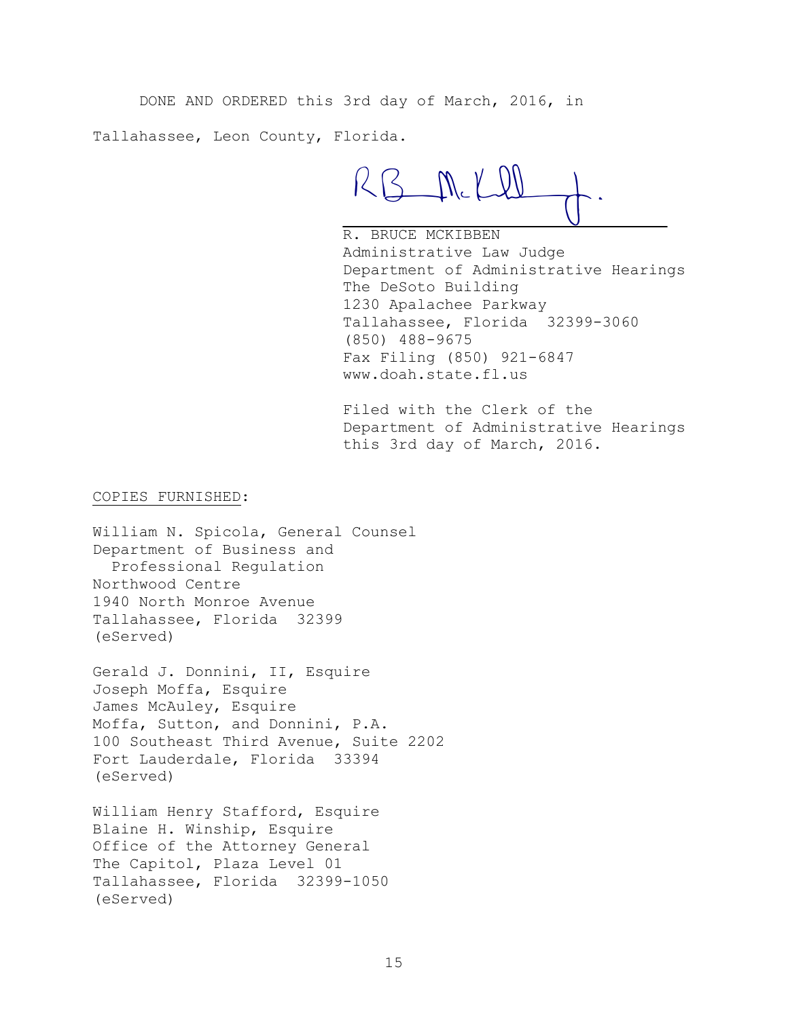DONE AND ORDERED this 3rd day of March, 2016, in

Tallahassee, Leon County, Florida.

RB M.KI

R. BRUCE MCKIBBEN Administrative Law Judge Department of Administrative Hearings The DeSoto Building 1230 Apalachee Parkway Tallahassee, Florida 32399-3060 (850) 488-9675 Fax Filing (850) 921-6847 www.doah.state.fl.us

Filed with the Clerk of the Department of Administrative Hearings this 3rd day of March, 2016.

COPIES FURNISHED:

William N. Spicola, General Counsel Department of Business and Professional Regulation Northwood Centre 1940 North Monroe Avenue Tallahassee, Florida 32399 (eServed)

Gerald J. Donnini, II, Esquire Joseph Moffa, Esquire James McAuley, Esquire Moffa, Sutton, and Donnini, P.A. 100 Southeast Third Avenue, Suite 2202 Fort Lauderdale, Florida 33394 (eServed)

William Henry Stafford, Esquire Blaine H. Winship, Esquire Office of the Attorney General The Capitol, Plaza Level 01 Tallahassee, Florida 32399-1050 (eServed)